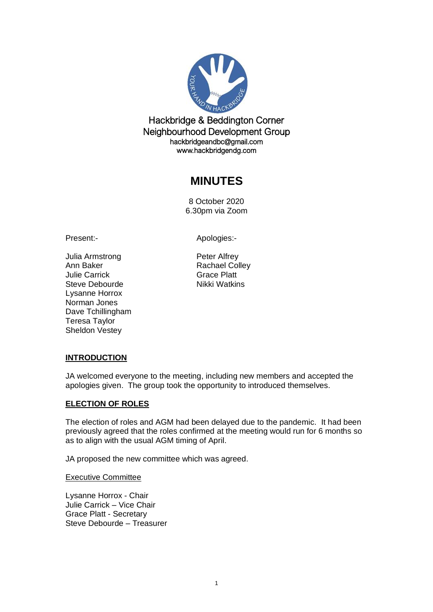

Hackbridge & Beddington Corner Neighbourhood Development Group hackbridgeandbc@gmail.com www.hackbridgendg.com

# **MINUTES**

8 October 2020 6.30pm via Zoom

Present:- Apologies:-

Julia Armstrong **Peter Alfrey** Ann Baker **Rachael Colley** Julie Carrick Grace Platt Steve Debourde Nikki Watkins Lysanne Horrox Norman Jones Dave Tchillingham Teresa Taylor Sheldon Vestey

# **INTRODUCTION**

JA welcomed everyone to the meeting, including new members and accepted the apologies given. The group took the opportunity to introduced themselves.

# **ELECTION OF ROLES**

The election of roles and AGM had been delayed due to the pandemic. It had been previously agreed that the roles confirmed at the meeting would run for 6 months so as to align with the usual AGM timing of April.

JA proposed the new committee which was agreed.

Executive Committee

Lysanne Horrox - Chair Julie Carrick – Vice Chair Grace Platt - Secretary Steve Debourde – Treasurer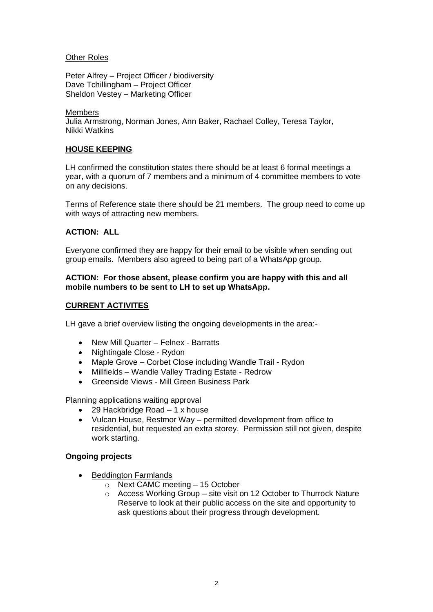#### Other Roles

Peter Alfrey – Project Officer / biodiversity Dave Tchillingham – Project Officer Sheldon Vestey – Marketing Officer

#### Members

Julia Armstrong, Norman Jones, Ann Baker, Rachael Colley, Teresa Taylor, Nikki Watkins

# **HOUSE KEEPING**

LH confirmed the constitution states there should be at least 6 formal meetings a year, with a quorum of 7 members and a minimum of 4 committee members to vote on any decisions.

Terms of Reference state there should be 21 members. The group need to come up with ways of attracting new members.

# **ACTION: ALL**

Everyone confirmed they are happy for their email to be visible when sending out group emails. Members also agreed to being part of a WhatsApp group.

#### **ACTION: For those absent, please confirm you are happy with this and all mobile numbers to be sent to LH to set up WhatsApp.**

# **CURRENT ACTIVITES**

LH gave a brief overview listing the ongoing developments in the area:-

- New Mill Quarter Felnex Barratts
- Nightingale Close Rydon
- Maple Grove Corbet Close including Wandle Trail Rydon
- Millfields Wandle Valley Trading Estate Redrow
- Greenside Views Mill Green Business Park

Planning applications waiting approval

- 29 Hackbridge Road 1 x house
- Vulcan House, Restmor Way permitted development from office to residential, but requested an extra storey. Permission still not given, despite work starting.

# **Ongoing projects**

- **Beddington Farmlands** 
	- o Next CAMC meeting 15 October
	- o Access Working Group site visit on 12 October to Thurrock Nature Reserve to look at their public access on the site and opportunity to ask questions about their progress through development.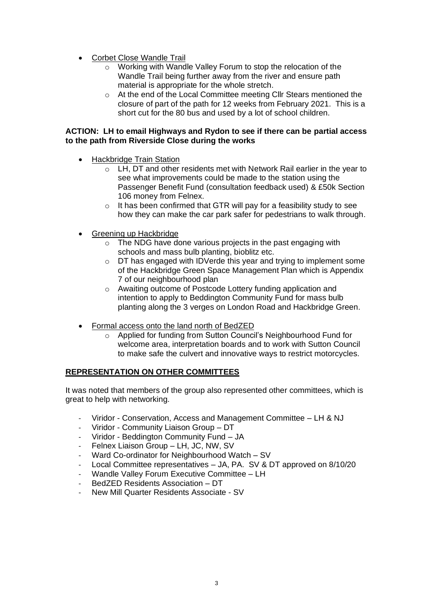- Corbet Close Wandle Trail
	- o Working with Wandle Valley Forum to stop the relocation of the Wandle Trail being further away from the river and ensure path material is appropriate for the whole stretch.
	- o At the end of the Local Committee meeting Cllr Stears mentioned the closure of part of the path for 12 weeks from February 2021. This is a short cut for the 80 bus and used by a lot of school children.

#### **ACTION: LH to email Highways and Rydon to see if there can be partial access to the path from Riverside Close during the works**

- Hackbridge Train Station
	- o LH, DT and other residents met with Network Rail earlier in the year to see what improvements could be made to the station using the Passenger Benefit Fund (consultation feedback used) & £50k Section 106 money from Felnex.
	- $\circ$  It has been confirmed that GTR will pay for a feasibility study to see how they can make the car park safer for pedestrians to walk through.
- Greening up Hackbridge
	- o The NDG have done various projects in the past engaging with schools and mass bulb planting, bioblitz etc.
	- o DT has engaged with IDVerde this year and trying to implement some of the Hackbridge Green Space Management Plan which is Appendix 7 of our neighbourhood plan
	- o Awaiting outcome of Postcode Lottery funding application and intention to apply to Beddington Community Fund for mass bulb planting along the 3 verges on London Road and Hackbridge Green.
- Formal access onto the land north of BedZED
	- o Applied for funding from Sutton Council's Neighbourhood Fund for welcome area, interpretation boards and to work with Sutton Council to make safe the culvert and innovative ways to restrict motorcycles.

# **REPRESENTATION ON OTHER COMMITTEES**

It was noted that members of the group also represented other committees, which is great to help with networking.

- Viridor Conservation, Access and Management Committee LH & NJ
- Viridor Community Liaison Group DT
- Viridor Beddington Community Fund JA
- Felnex Liaison Group LH, JC, NW, SV
- Ward Co-ordinator for Neighbourhood Watch SV
- Local Committee representatives JA, PA. SV & DT approved on 8/10/20
- Wandle Valley Forum Executive Committee LH
- BedZED Residents Association DT
- New Mill Quarter Residents Associate SV